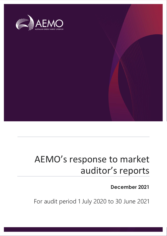

### AEMO's response to market auditor's reports

**December 2021**

For audit period 1 July 2020 to 30 June 2021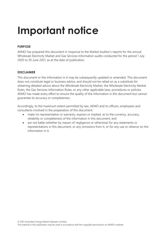## **Important notice**

### **PURPOSE**

AEMO has prepared this document in response to the Market Auditor's reports for the annual Wholesale Electricity Market and Gas Services Information audits conducted for the period 1 July 2020 to 30 June 2021, as at the date of publication.

### **DISCLAIMER**

This document or the information in it may be subsequently updated or amended. This document does not constitute legal or business advice, and should not be relied on as a substitute for obtaining detailed advice about the Wholesale Electricity Market, the Wholesale Electricity Market Rules, the Gas Services Information Rules, or any other applicable laws, procedures or policies. AEMO has made every effort to ensure the quality of the information in this document but cannot guarantee its accuracy or completeness.

Accordingly, to the maximum extent permitted by law, AEMO and its officers, employees and consultants involved in the preparation of this document:

- make no representation or warranty, express or implied, as to the currency, accuracy, reliability or completeness of the information in this document; and
- are not liable (whether by reason of negligence or otherwise) for any statements or representations in this document, or any omissions from it, or for any use or reliance on the information in it.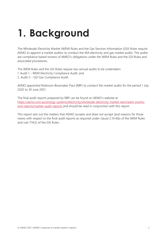## **1. Background**

The Wholesale Electricity Market (WEM) Rules and the Gas Services Information (GSI) Rules require AEMO to appoint a market auditor to conduct the WA electricity and gas market audits. The audits are compliance based reviews of AMEO's obligations under the WEM Rules and the GSI Rules and associated procedures.

The WEM Rules and the GSI Rules require two annual audits to be undertaken:

1. Audit 1 – WEM Electricity Compliance Audit; and

2. Audit 2 – GSI Gas Compliance Audit.

AEMO appointed Robinson Bowmaker Paul (RBP) to conduct the market audits for the period 1 July 2020 to 30 June 2021.

The final audit reports prepared by RBP can be found on AEMO's website at [https://aemo.com.au/energy-systems/electricity/wholesale-electricity-market-wem/wem-events](https://aemo.com.au/energy-systems/electricity/wholesale-electricity-market-wem/wem-events-and-reports/market-audit-reports)[and-reports/market-audit-reports](https://aemo.com.au/energy-systems/electricity/wholesale-electricity-market-wem/wem-events-and-reports/market-audit-reports) and should be read in conjunction with this report.

This report sets out the matters that AEMO accepts and does not accept (and reasons for those views) with respect to the final audit reports as required under clause 2.14.4(b) of the WEM Rules and rule 174(3) of the GSI Rules.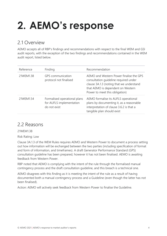# **2. AEMO's response**

### 2.1 Overview

AEMO accepts all of RBP's findings and recommendations with respect to the final WEM and GSI audit reports, with the exception of the two findings and recommendations contained in the WEM audit report, listed below.

| Reference | Finding                                                                  | Recommendation                                                                                                                                                                                      |
|-----------|--------------------------------------------------------------------------|-----------------------------------------------------------------------------------------------------------------------------------------------------------------------------------------------------|
| 21WEM1.38 | <b>GPS</b> communication<br>protocol not finalised                       | AEMO and Western Power finalise the GPS<br>consultation guideline required under<br>clause 3A.1.3 (noting that we understand<br>that AEMO is dependent on Western<br>Power to meet this obligation) |
| 21WEM1.54 | Formalised operational plans<br>for AUFLS implementation<br>do not exist | AEMO formalise its AUFLS operational<br>plans by documenting it, as a reasonable<br>interpretation of clause 3.6.2 is that a<br>tangible plan should exist                                          |

### 2.2 Reasons

21WEM1.38

Risk Rating: Low

Clause 3A.1.3 of the WEM Rules requires AEMO and Western Power to document a process setting out how information will be exchanged between the two parties (including specification of format and form of information, and timeframes). A draft Generator Performance Standard (GPS) consultation guideline has been prepared, however it has not been finalised. AEMO is awaiting feedback from Western Power.

RBP noted that AEMO is complying with the intent of the rule through the formalised manual contingency process and the draft consultation guideline, and this breach is a technical one.

AEMO disagrees with this finding as it is meeting the intent of the rule as a result of having documented both a manual contingency process and a Guideline (even though the latter has not been finalised).

Action: AEMO will actively seek feedback from Western Power to finalise the Guideline.